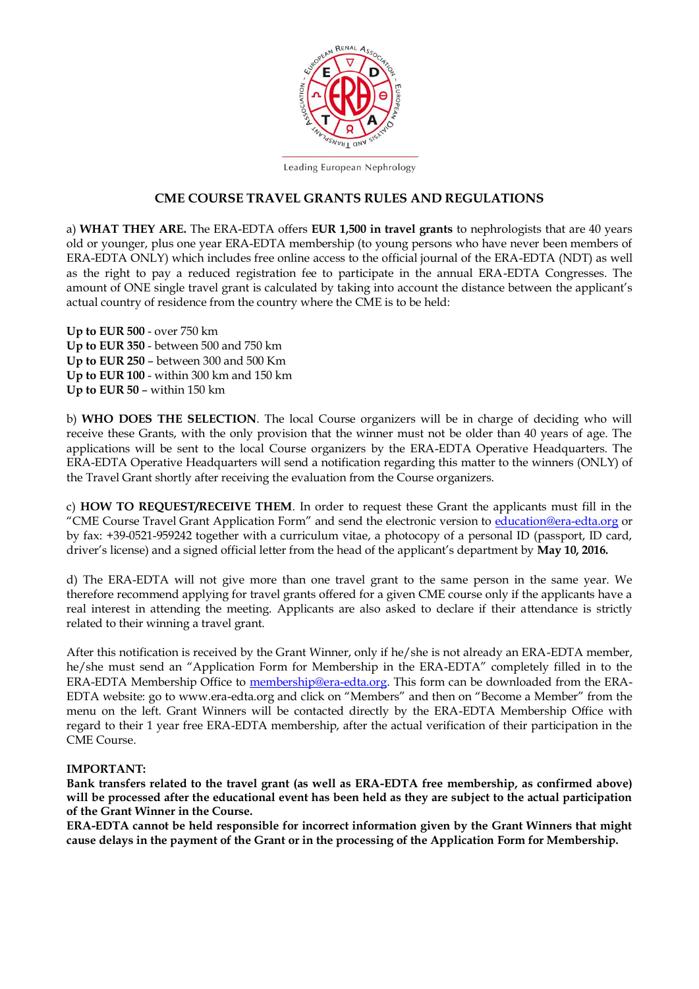

Leading European Nephrology

#### **CME COURSE TRAVEL GRANTS RULES AND REGULATIONS**

a) **WHAT THEY ARE.** The ERA-EDTA offers **EUR 1,500 in travel grants** to nephrologists that are 40 years old or younger, plus one year ERA-EDTA membership (to young persons who have never been members of ERA-EDTA ONLY) which includes free online access to the official journal of the ERA-EDTA (NDT) as well as the right to pay a reduced registration fee to participate in the annual ERA-EDTA Congresses. The amount of ONE single travel grant is calculated by taking into account the distance between the applicant's actual country of residence from the country where the CME is to be held:

**Up to EUR 500** - over 750 km **Up to EUR 350** - between 500 and 750 km **Up to EUR 250** – between 300 and 500 Km **Up to EUR 100** - within 300 km and 150 km **Up to EUR 50** – within 150 km

b) **WHO DOES THE SELECTION**. The local Course organizers will be in charge of deciding who will receive these Grants, with the only provision that the winner must not be older than 40 years of age. The applications will be sent to the local Course organizers by the ERA-EDTA Operative Headquarters. The ERA-EDTA Operative Headquarters will send a notification regarding this matter to the winners (ONLY) of the Travel Grant shortly after receiving the evaluation from the Course organizers.

c) **HOW TO REQUEST/RECEIVE THEM**. In order to request these Grant the applicants must fill in the "CME Course Travel Grant Application Form" and send the electronic version to [education@era-edta.org](mailto:education@era-edta.org) or by fax: +39-0521-959242 together with a curriculum vitae, a photocopy of a personal ID (passport, ID card, driver's license) and a signed official letter from the head of the applicant's department by **May 10, 2016.** 

d) The ERA-EDTA will not give more than one travel grant to the same person in the same year. We therefore recommend applying for travel grants offered for a given CME course only if the applicants have a real interest in attending the meeting. Applicants are also asked to declare if their attendance is strictly related to their winning a travel grant.

After this notification is received by the Grant Winner, only if he/she is not already an ERA-EDTA member, he/she must send an "Application Form for Membership in the ERA-EDTA" completely filled in to the ERA-EDTA Membership Office to [membership@era-edta.org.](mailto:membership@era-edta.org) This form can be downloaded from the ERA-EDTA website: go to www.era-edta.org and click on "Members" and then on "Become a Member" from the menu on the left. Grant Winners will be contacted directly by the ERA-EDTA Membership Office with regard to their 1 year free ERA-EDTA membership, after the actual verification of their participation in the CME Course.

#### **IMPORTANT:**

**Bank transfers related to the travel grant (as well as ERA-EDTA free membership, as confirmed above) will be processed after the educational event has been held as they are subject to the actual participation of the Grant Winner in the Course.** 

**ERA-EDTA cannot be held responsible for incorrect information given by the Grant Winners that might cause delays in the payment of the Grant or in the processing of the Application Form for Membership.**